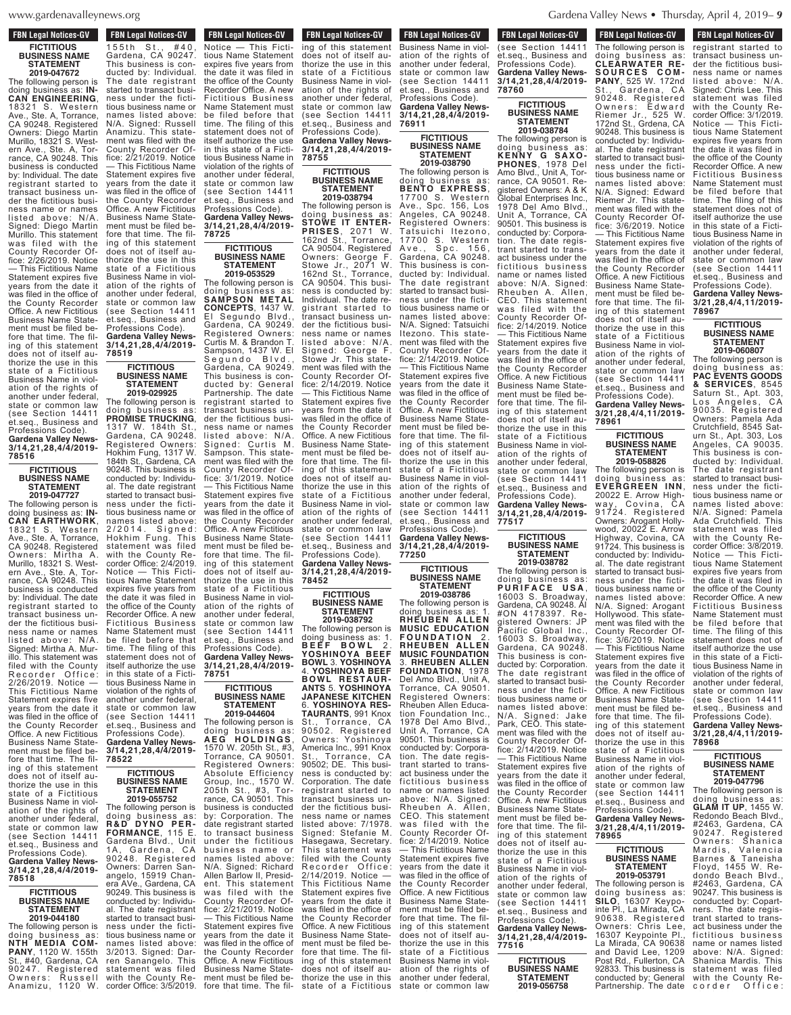$ews$ , org  $\frac{1}{2}$ 

### **FBN Legal Notices-GV FICTITIOUS BUSINESS NAME**

**STATEMENT 2019-047672** The following person is doing business as: **IN-CAN ENGINEERING**, 18321 S. Western Ave., Ste. A, Torrance, CA 90248. Registered Owners: Diego Martin Murillo, 18321 S. Western Ave., Ste. A, Torrance, CA 90248. This business is conducted by: Individual. The date régistrant started to transact business under the fictitious business name or names listed above: N/A. Signed: Diego Martin Murillo. This statement was filed with the County Recorder Office: 2/26/2019. Notice — This Fictitious Name Statement expires five years from the date it was filed in the office of the County Recorder Office. A new Fictitious Business Name Statement must be filed before that time. The filing of this statement does not of itself authorize the use in this state of a Fictitious Business Name in violation of the rights of another under federal, state or common law (see Section 14411 et.seq., Business and Professions Code). **Gardena Valley News-**

#### **FICTITIOUS BUSINESS NAME STATEMENT 2019-047727**

**3/14,21,28,4/4/2019-**

**78516**

The following person is doing business as: **IN-CAN EARTHWORK**, 18321 S. Western Ave., Ste. A, Torrance, CA 90248. Registered<br>Owners: Mirtha A. Owners: Mirtha A. Murillo, 18321 S. Western Ave., Ste. A, Torrance, CA 90248. This business is conducted by: Individual. The date registrant started to transact business under the fictitious business name or names listed above: N/A. Signed: Mirtha A. Murillo. This statement was filed with the County Recorder Office /26/2019. Notice This Fictitious Name Statement expires five years from the date it was filed in the office of the County Recorder Office. A new Fictitious Business Name Statement must be filed before that time. The filing of this statement does not of itself authorize the use in this state of a Fictitious Business Name in violation of the rights of another under federal, state or common law (see Section 14411 et.seq., Business and Professions Code). **Gardena Valley News-3/14,21,28,4/4/2019- 78518**

### **FICTITIOUS BUSINESS NAME STATEMENT**

**2019-044180** The following person is doing business as: **NTH MEDIA COM-PANY**, 1120 W. 155th St., #40, Gardena, CA 90247. Registered Owners: Russell Anamizu, 1120 W.

1 5 5 t h S t . , # 4 0 ,

**FBN Legal Notices-GV FON LEGAL MULLES-GV.**  $\overline{155th}$  St., #40 Gardena, CA 90247. This business is conducted by: Individual. The date registrant started to transact business under the fictitious business name or names listed above: N/A. Signed: Russell Anamizu. This statement was filed with the County Recorder Office: 2/21/2019. Notice — This Fictitious Name Statement expires five years from the date it was filed in the office of the County Recorder Office. A new Fictitious Business Name Statement must be filed before that time. The filing of this statement does not of itself authorize the use in this state of a Fictitious Business Name in violation of the rights of another under federal, state or common law (see Section 14411 et.seq., Business and Professions Code). **Gardena Valley News-3/14,21,28,4/4/2019-**

#### **FICTITIOUS BUSINESS NAME STATEMENT 2019-029925**

**78519**

The following person is doing business as: **PROMISE TRUCKING**, 1317 W. 184th St., Gardena, CA 90248. Registered Owners: Hokhim Fung, 1317 W. 184th St., Gardena, CA 90248. This business is conducted by: Individual. The date registrant started to transact business under the fictitious business name or names listed above:<br>2/2014 Signed: 2/2014. Signed: Hokhim Fung. This statement was filed with the County Recorder Office: 2/4/2019. Notice — This Fictitious Name Statement expires five years from the date it was filed in the office of the County Recorder Office. A new Fictitious Business Name Statement must be filed before that The filing of this statement does not of itself authorize the use in this state of a Fictitious Business Name in violation of the rights of another under federal, state or common law (see Section 14411 et.seq., Business and Professions Code).

# **Gardena Valley News-3/14,21,28,4/4/2019- 78522**

**FICTITIOUS BUSINESS NAME STATEMENT 2019-055752**

The following person is doing business as: **R & D D Y NO PE R - FORMANCE**, 115 E. Gardena Blvd., Unit 1A, Gardena, CA 90248. Registered Owners: Darren Sanangelo, 15919 Chanera AVe., Gardena, CA 90249. This business is conducted by: Individual. The date registrant started to transact business under the fictitious business name or names listed above 3/2013. Signed: Darren Sanangelo. This statement was filed with the County Recorder Office: 3/5/2019.

Notice — This Ficti-

**FBN Legal Notices-GV CONCESS CONCESS CONCESS CONCESS CONCESS** Notice — This Fictitious Name Statement expires five years from the date it was filed in the office of the County Recorder Office. A new Fictitious Business Name Statement must be filed before that time. The filing of this statement does not of itself authorize the use in this state of a Fictitious Business Name in violation of the rights of another under federal, state or common law (see Section 14411 et.seq., Business and

Professions Code). **Gardena Valley News-3/14,21,28,4/4/2019- 78725**

#### **FICTITIOUS BUSINESS NAME STATEMENT 2019-053529**

The following person is doing business as: **SAMPSON METAL CONCEPTS**, 1437 W. El Segundo Blvd., Gardena, CA 90249. Registered Owners: Curtis M. & Brandon T. Sampson, 1437 W. El Segundo Blvd., Gardena, CA 90249. This business is conducted by: General Partnership. The date registrant started to transact business under the fictitious business name or names listed above: N/A Signed: Curtis M. Sampson. This statement was filed with the County Recorder Office: 3/1/2019. Notice — This Fictitious Name Statement expires five years from the date it was filed in the office of the County Recorder Office. A new Fictitious Business Name Statement must be filed before that time. The filing of this statement does not of itself authorize the use in this state of a Fictitious Business Name in violation of the rights of another under federal, state or common law (see Section 14411 et.seq., Business and

### Professions Code). **Gardena Valley News-3/14,21,28,4/4/2019- 78751**

#### **FICTITIOUS BUSINESS NAME STATEMENT 2019-044604**

The following person is doing business as: **A E G H O L D I N G S** , 1570 W. 205th St., #3, Torrance, CA 90501. Registered Owners: Absolute Efficiency Group, Inc., 1570 W. 205th St., #3, Tor-205th St., #3, Tor-<br>rance, CA 90501. This business is conducted by: Corporation. The date registrant started to transact business under the fictitious business name or names listed above: N/A. Signed: Richard Allen Barlow II, President. This statement was filed with the<br>County Recorder Office: 2/21/2019. Notice — This Fictitious Name Statement expires five years from the date it was filed in the office of the County Recorder Office. A new Fictitious Business Name Statement must be filed before that time. The filing of this statement

**FBN Legal Notices-GV** For Legal numers-ave ing of this statement does not of itself authorize the use in this state of a Fictitious Business Name in violation of the rights of another under federal, state or common law (see Section 14411 et.seq., Business and Professions Code). **Gardena Valley News-**

**3/14,21,28,4/4/2019- 78755 FICTITIOUS**

#### **BUSINESS NAME STATEMENT 2019-038794**

The following person is doing business as: **STOWE IT ENTER-PRISES**, 2071 W. 162nd St., Torrance, CA 90504. Registered Owners: George F. Stowe Jr., 2071 W. 162nd St., Torrance, CA 90504. This business is conducted by: Individual. The date registrant started to transact business under the fictitious business name or names listed above: N/A. Signed: George F. Stowe Jr. This statement was filed with the County Recorder Office: 2/14/2019. Notice — This Fictitious Name Statement expires five years from the date it was filed in the office of the County Recorder Office. A new Fictitious Business Name Statement must be filed b fore that time. The filing of this statement does not of itself authorize the use in this state of a Fictitious Business Name in violation of the rights of another under federal, state or common law (see Section 14411 et.seq., Business and Professions Code).

**Gardena Valley News-3/14,21,28,4/4/2019- 78452**

#### **FICTITIOUS BUSINESS NAME STATEMENT 2019-038792**

The following person is doing business as: 1.<br>**BEEF BOWI** 2 **B E E F B O W L** 2 . **YOSHINOYA BEEF BOWL** 3. **YOSHINOYA** 4. **YOSHINOYA BEEF BOWL RESTAUR-ANTS** 5. **YOSHINOYA JAPANESE KITCHEN** 6. **YOSHINOYA RES-TAURANTS**, 991 Knox St., Torrance, CA 90502. Registered<br>Owners: Yoshinoya<br>America Inc.,991 Knox St., Torrance, CA 90502; DE. This business is conducted by: Corporation. The date registrant started to transact business under the fictitious business name or names listed above: 7/1978. Signed: Stefanie M. Hasegawa, Secretary. This statement was filed with the County Recorder Office: 2/14/2019. Notice — This Fictitious Name Statement expires five years from the date it was filed in the office of the County Recorder Office. A new Fictitious Business Name Statement must be filed before that time. The filing of this statement does not of itself authorize the use in this state of a Fictitious

Business Name in viol-

**FBN Legal Notices-GV FIGURE CONSTRUCTS** Business Name in violation of the rights of another under federal, state or common law (see Section 14411 et.seq., Business and Professions Code). **Gardena Valley News-3/14,21,28,4/4/2019- 76911**

#### **FICTITIOUS BUSINESS NAME STATEMENT 2019-038790** The following person is

doing business as: **BENTO EXPRESS**, 17700 S. Western Ave., Spc. 156, Los Angeles, CA 90248. Registered Owners: Tatsuichi Itezono. 17700 S. Western Ave., Spc. 156, Gardena, CA 90248. This business is conducted by: Individual. The date registrant started to transact business under the fictitious business name or names listed above: N/A. Signed: Tatsuichi Itezono. This statement was filed with the County Recorder Office: 2/14/2019. Notice — This Fictitious Name Statement expires five years from the date it was filed in the office of the County Recorder Office. A new Fictitious Business Name Statement must be filed before that time. The filing of this statement does not of itself authorize the use in this state of a Fictitious Business Name in violation of the rights of another under federal, state or common law (see Section 14411 et.seq., Business and Professions Code). **Gardena Valley News-**

**3/14,21,28,4/4/2019- 77250**

**FICTITIOUS BUSINESS NAME STATEMENT**

**2019-038786** The following person is doing business as: 1. **RHEUBEN ALLEN MUSIC EDUCATION F O U N D A T I O N** 2 . **RHEUBEN ALLEN MUSIC FOUNDATION** 3. **RHEUBEN ALLEN FOUNDATION**, 1978 Del Amo Blvd., Unit A, Torrance, CA 90501. Registered Owners: Rheuben Allen Education Foundation Inc., 1978 Del Amo Blvd., Unit A, Torrance, CA 90501. This business is conducted by: Corporation. The date registrant started to transact business under the fictitious business name or names listed above: N/A. Signed: Rheuben A. Allen, CEO. This statement was filed with the County Recorder Office: 2/14/2019. Notice — This Fictitious Name Statement expires five years from the date it was filed in the office of the County Recorder Office. A new Fictitious Business Name Statement must be filed before that time. The filing of this statement does not of itself authorize the use in this state of a Fictitious Business Name in violation of the rights of another under federal, state or common law

 $\zeta$ 

#### **FICTITIOUS BUSINESS NAME STATEMENT 2019-038784**

The following person is doing business as: **K E N N Y G S A XO-PHONES**, 1978 Del Amo Blvd., Unit A, Torrance, CA 90501. Registered Owners: A & K Global Enterprises Inc., 1978 Del Amo Blvd., Unit A, Torrance, CA 90501. This business is conducted by: Corporation. The date registrant started to transact business under the fictitious business name or names listed above: N/A. Signed: Rheuben A. Allen, CEO. This statement was filed with the County Recorder Office: 2/14/2019. Notice — This Fictitious Name Statement expires five years from the date it was filed in the office of the County Recorder Office. A new Fictitious Business Name Statement must be filed before that time. The filing of this statement does not of itself authorize the use in this state of a Fictitious Business Name in violation of the rights of<br>another under federal, another under federal,<br>state or common law (see Section 14411 et.seq., Business and Professions Code). **Gardena Valley News-3/14,21,28,4/4/2019- 77517**

#### **FICTITIOUS BUSINESS NAME STATEMENT 2019-038782**

The following person is doing business as: **P U R I F A C E U S A** , 16003 S. Broadway, Gardena, CA 90248. AI #ON 4178397. Registered Owners: JP Pacific Global Inc., 16003 S. Broadway, Gardena, CA 90248. This business is conducted by: Corporation. The date registrant started to transact business under the fictitious business name or names listed above: N/A. Signed: Jake Park, CEO. This statement was filed with the County Recorder Of-fice: 2/14/2019. Notice — This Fictitious Name Statement expires five years from the date it was filed in the office of the County Recorder Office. A new Fictitious Business Name Statement must be filed before that time. The filing of this statement does not of itself authorize the use in this state of a Fictitious Business Name in violation of the rights of another under federal, state or common law (see Section 14411 et.seg., Business and Professions Code). **Gardena Valley News-3/14,21,28,4/4/2019- 77516**

> **FICTITIOUS BUSINESS NAME STATEMENT 2019-056758**

The following person is

**FBN Legal Notices-GV STATEMENT 2019-056758** The following person is doing business as: **CLEARWATER RE-S O U R C E S C O M - PANY**, 525 W. 172nd St., Gardena, CA 90248. Registered Owners: Edward Riemer Jr., 525 W. 172nd St., Grdena, CA 90248. This business is conducted by: Individual. The date registrant started to transact business under the fictitious business name or names listed above: N/A. Signed: Edward Riemer Jr. This statement was filed with the County Recorder Office: 3/6/2019. Notice — This Fictitious Name Statement expires five years from the date it was filed in the office of the County Recorder Office. A new Fictitious Business Name Statement must be filed before that time. The filing of this statement does not of itself authorize the use in this state of a Fictitious Business Name in violation of the rights of another under federal, state or common law (see Section 14411 et.seq., Business and Professions Code).

**Gardena Valley News-3/21,28,4/4,11/2019- 78961 FICTITIOUS**

#### **BUSINESS NAME STATEMENT 2019-058826**

The following person is doing business as: **EVERGREEN INN**, 20022 E. Arrow Highway, Covina, CA way, Covina, CA<br>91724. Registered Owners: Arogant Hollywood, 20022 E. Arrow Highway, Covina, CA 91724. This business is conducted by: Individual. The date registrant started to transact business under the fictitious business name or names listed above: N/A. Signed: Arogant Hollywood. This statement was filed with the County Recorder Office: 3/6/2019. Notice — This Fictitious Name Statement expires five years from the date it was filed in the office of the County Recorder Office. A néw Fictitious Business Name Statement must be filed before that time. The filing of this statement does not of itself authorize the use in this state of a Fictitious Business Name in violation of the rights of another under federal, state or common law (see Section 14411 et.seq., Business and Professions Code).

### **FICTITIOUS BUSINESS NAME STATEMENT 2019-053791**

**Gardena Valley News-3/21,28,4/4,11/2019-**

**78965**

The following person is doing business as: **SILO**, 16307 Keypointe Pl., La Mirada, CA 90638. Registered Owners: Chris Lee, 16307 Keypointe Pl., La Mirada, CA 90638 and David Lee, 1209 Post Rd., Fullerton, CA 92833. This business is conducted by: General Partnership. The date

registrant started to

**Propriet Control Control Control Control Control Control Control Control Control Control Control Control Control Control Control Control Control Control Control Control Control Control Control Control Control Control Cont** registrant started to transact business under the fictitious business name or names listed above: N/A. Signed: Chris Lee. This statement was filed with the County Recorder Office: 3/1/2019. Notice — This Fictitious Name Statement expires five years from the date it was filed in the office of the County Recorder Office. A new Fictitious Business Name Statement must be filed before that time. The filing of this statement does not of itself authorize the use in this state of a Fictitious Business Name in violation of the rights of another under federal, state or common law (see Section 14411 et.seq., Business and Professions Code). **Gardena Valley News-3/21,28,4/4,11/2019- 78967**

**FBN Legal Notices-GV** 

#### **FICTITIOUS BUSINESS NAME STATEMENT 2019-060807**

The following person is doing business as: **PAC EVENTS GOODS & SERVICES**, 8545 Saturn St., Apt. 303, Los Angeles, CA 90035. Registered Owners: Pamela Ada Crutchfield, 8545 Saturn St., Apt. 303, Los Angeles, CA 90035. This business is conducted by: Individual. The date registrant started to transact business under the fictitious business name or names listed above: N/A. Signed: Pamela Ada Crutchfield. This statement was filed with the County Recorder Office: 3/8/2019. Notice — This Ficti-Notice — This Ficti-<br>tious Name Statement expires five years from the date it was filed in the office of the County Recorder Office. A new Fictitious Business Name Statement must be filed before that time. The filing of this statement does not of itself authorize the use in this state of a Fictitious Business Name in violation of the rights of another under federal, state or common law (see Section 14411 et.seq., Business and

Professions Code). **Gardena Valley News-3/21,28,4/4,11/2019- 78968**

### **FICTITIOUS BUSINESS NAME STATEMENT 2019-047796**

The following person is doing business as: **GLAM IT UP**, 1455 W. Redondo Beach Blvd., #2463, Gardena, CA 90247. Registered Owners: Shanica Mardis, Valencia Barnes & Taneisha Floyd, 1455 W. Redondo Beach Blvd., #2463, Gardena, CA 90247. This business is conducted by: Copartners. The date registrant started to transact business under the fictitious business name or names listed above: N/A. Signed: Shanica Mardis. This statement was filed with the County Recorder Office:

2/26/2019. Notice —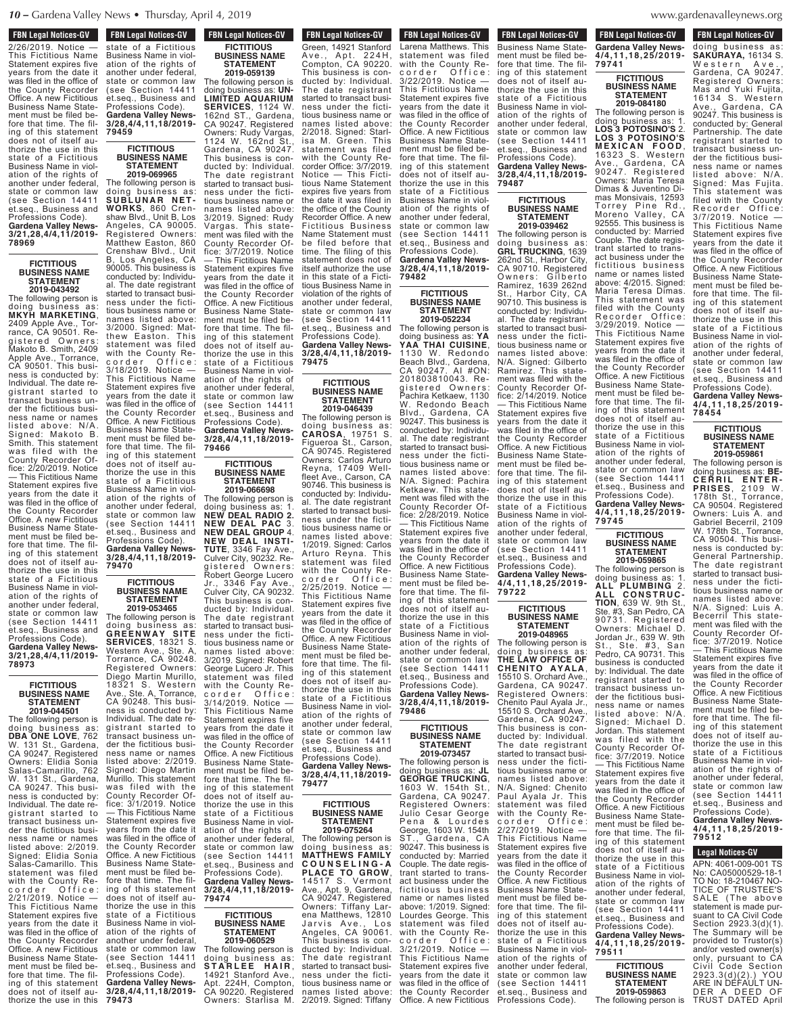#### **FBN Legal Notices-GV** r div leyal nulles-dv

2/26/2019. Notice — This Fictitious Name Statement expires five years from the date it was filed in the office of the County Recorder Office. A new Fictitious Business Name Statement must be filed before that time. The filing of this statement does not of itself authorize the use in this state of a Fictitious Business Name in violation of the rights of another under federal, state or common law (see Section 14411 et.seq., Business and Professions Code). **Gardena Valley News-3/21,28,4/4,11/2019- 78969**

#### **FICTITIOUS BUSINESS NAME STATEMENT 2019-043492**

The following person is doing business as: **MKYH MARKETING**, 2409 Apple Ave., Torrance, CA 90501. Registered Owners: Makoto B. Smith, 2409 Apple Ave., Torrance, CA 90501. This business is conducted by: Individual. The date registrant started to transact business under the fictitious business name or names listed above: N/A. Signed: Makoto B. Smith. This statement was filed with the County Recorder Office: 2/20/2019. Notice — This Fictitious Name Statement expires five years from the date it was filed in the office of the County Recorder Office. A new Fictitious Business Name Statement must be filed before that time. The filing of this statement does not of itself authorize the use in this state of a Fictitious Business Name in violation of the rights of another under federal, state or common law (see Section 14411 et.seq., Business and Professions Code). **Gardena Valley News-3/21,28,4/4,11/2019-**

#### **FICTITIOUS BUSINESS NAME STATEMENT**

**78973**

**2019-044501** The following person is doing business as: **DBA ONE LOVE**, 762 W. 131 St., Gardena, CA 90247. Registered Owners: Elidia Sonia Salas-Camarillo, 762 W. 131 St., Gardena, CA 90247. This business is conducted by: Individual. The date registrant started to transact business under the fictitious business name or names listed above: 2/2019. Signed: Elidia Sonia Salas-Camarillo. This statement was filed with the County Re-<br>corder Office: c o r d e r O f f i c e : 2/21/2019. Notice — This Fictitious Name Statement expires five years from the date it was filed in the office of the County Recorder Office. A new Fictitious Business Name Statement must be filed before that time. The filing of this statement does not of itself authorize the use in this

**Thorize the use in the use in the use in the use in the use in the use in the use in the use in the use in the u** state of a Fictitious Business Name in violation of the rights of another under federal, state or common law (see Section 14411 et.seq., Business and Professions Code). **Gardena Valley News-3/28,4/4,11,18/2019- 79459**

**FBN Legal Notices-GV** 

### **FICTITIOUS BUSINESS NAME STATEMENT**

thorize the use in this state of a Fictitious Business Name in violation of the rights of another under federal, state or common law (see Section 14411 et.seq., Business and Professions Code). **Gardena Valley News-3/28,4/4,11,18/2019- 79466 FICTITIOUS BUSINESS NAME STATEMENT 2019-066698** The following person is **2019-069965** The following person is doing business as: **S U B L U N A R N ET - WORKS**, 860 Crenshaw Blvd., Unit B, Los Angeles, CA 90005. Registered Owners: Matthew Easton, 860 Crenshaw Blvd., Unit B, Los Angeles, CA 90005. This business is conducted by: Individual. The date registrant started to transact business under the fictitious business name or names listed above: 3/2000. Signed: Matthew Easton. This statement was filed with the County Recorder Office: 3/18/2019. Notice — This Fictitious Name Statement expires five years from the date it was filed in the office of the County Recorder Office. A new Fictitious Business Name Statement must be filed before that time. The filing of this statement does not of itself authorize the use in this state of a Fictitious Business Name in violation of the rights of

doing business as: **NEW DEAL RADIO 2.**

**NEW DEAL INSTI-**

Culver City, 90232. Re-

Robert George Lucero

This business is conducted by: Individual. The date registrant

**FICTITIOUS**

**STATEMENT 2019-060529**

 $STARLEE$  **HAIR**, 14921 Stanford Ave., Apt. 224H, Compton, CA 90220. Registered Owners: Starlisa M.

another under federal, state or common law (see Section 14411 et.seq., Business and Professions Code). **Gardena Valley News-3/28,4/4,11,18/2019- 79470**

#### **FICTITIOUS BUSINESS NAME STATEMENT 2019-053465**

The following person is

started to transact business under the fictitious business name or names listed above: 3/2019. Signed: Robert George Lucero Jr. This statement was filed with the County Recorder Office: 3/14/2019. Notice — This Fictitious Name Statement expires five years from the date it was filed in the office of the County Recorder Office. A new Fictitious Business Name Statement must be filed before that time. The filing of this statement does not of itself authorize the use in this state of a Fictitious Business Name in violation of the rights of another under federal, state or common law (see Section 14411 et.seq., Business and Professions Code). **Gardena Valley News-3/28,4/4,11,18/2019- 79474 BUSINESS NAME** The following person is doing business as: doing business as: **GR EE NWA Y SITE SERVICES**, 18321 S. Western Ave., Ste. A, Torrance, CA 90248. Registered Owners: Diego Martin Murillo, 18321 S. Western Ave., Ste. A, Torrance, CA 90248. This business is conducted by: Individual. The date registrant started to transact business under the fictitious business name or names listed above: 2/2019. Signed: Diego Martin Murillo. This statement was filed with the County Recorder Office: 3/1/2019. Notice — This Fictitious Name Statement expires five years from the date it was filed in the office of the County Recorder Office. A new Fictitious Business Name Statement must be filed before that time. The filing of this statement does not of itself authorize the use in this state of a Fictitious Business Name in violation of the rights of<br>another under federal. another under federal,<br>state or common law (see Section 14411

et.seg., Business and Professions Code). **Gardena Valley News-3/28,4/4,11,18/2019-**

**79473**

**FBN Legal Notices-GV TEN LEGAL MULLES-GV** Green, 14921 Stanford Ave., Apt. 224H, Compton, CA 90220. This business is conducted by: Individual. The date registrant started to transact business under the fictitious business name or names listed above: 2/2018. Signed: Starlisa M. Green. This statement was filed with the County Recorder Office: 3/7/2019. Notice — This Fictitious Name Statement expires five years from the date it was filed in the office of the County Recorder Office. A new Fictitious Business Name Statement must be filed before that time. The filing of this statement does not of itself authorize the use in this state of a Fictitious Business Name in violation of the rights of another under federal, state or common law (see Section 14411 et.seq., Business and Professions Code). **Gardena Valley Nev 3/28,4/4,11,18/2019- FBN Legal Notices-GV FICTITIOUS BUSINESS NAME STATEMENT 2019-059139** The following person is doing business as: **UN-LIMITED AQUARIUM SERVICES**, 1124 W. 162nd ST., Gardena, CA 90247. Registered Owners: Rudy Vargas, 1124 W. 162nd St., Gardena, CA 90247. This business is conducted by: Individual. The date registrant started to transact business under the fictitious business name or names listed above: 3/2019. Signed: Rudy Vargas. This statement was filed with the County Recorder Office: 3/7/2019. Notice — This Fictitious Name Statement expires five years from the date it was filed in the office of the County Recorder Office. A new Fictitious Business Name Statement must be filed before that time. The filing of this statement does not of itself au-

### **FICTITIOUS BUSINESS NAME STATEMENT**

**79475**

**2019-046439** The following person is doing business as: **CAROSA**, 19751 S. Figueroa St., Carson, CA 90745. Registered Owners: Carlos Arturo Reyna, 17409 Wellfleet Ave., Carson, CA 90746. This business is conducted by: Individual. The date registrant started to transact business under the fictitious business name or names listed above: 1/2019. Signed: Carlos Arturo Reyna. This statement was filed with the County Recorder Office: 2/25/2019. Notice — This Fictitious Name Statement expires five years from the date it was filed in the office of the County Recorder Office. A new Fictitious Business Name Statement must be filed before that time. The filing of this statement does not of itself authorize the use in this state of a Fictitious Business Name in violation of the rights of another under federal, state or common law (see Section 14411 et.seq., Business and Professions Code). **Gardena Valley News-3/28,4/4,11,18/2019- 79477 NEW DEAL PAC** 3. **NEW DEAL GROUP** 4. **TUTE**, 3346 Fay Ave., gistered Owners: Jr., 3346 Fay Ave., Culver City, CA 90232.

#### **FICTITIOUS BUSINESS NAME STATEMENT 2019-075264**

The following person is doing business as: **MATTHEWS FAMILY C O U N S E L I N G - A PLACE TO GROW**, 14517 S. Vermont Ave., Apt. 9, Gardena, CA 90247. Registered Owners: Tiffany Larena Matthews, 12810<br>Jarvis, Ave., Los Jarvis Ave., Angeles, CA 90061. This business is conducted by: Individual. The date registrant started to transact business under the fictitious business name or names listed above: 2/2019. Signed: Tiffany

Business Name Stateing of this statement **79487 FBN Legal Notices-GV 2019. TEN LEGAL MULLES-GV** Larena Matthews. This statement was filed with the County Recorder Office: corder Offic<br>3/22/2019. Notice This Fictitious Name Statement expires five years from the date it was filed in the office of the County Recorder Office. A new Fictitious Business Name Statement must be filed before that time. The filing of this statement does not of itself authorize the use in this state of a Fictitious Business Name in violation of the rights of another under federal, state or common law (see Section 14411 et.seq., Business and Professions Code). **Gardena Valley News-3/28,4/4,11,18/2019- 79482**

**FICTITIOUS BUSINESS NAME STATEMENT 2019-052234**

The following person is doing business as: **YA YAA THAI CUISINE**, 1130 W. Redondo Beach Blvd., Gardena, CA 90247. AI #ON: 201803810043. Registered Owners: achira Ketkaew, 1130 W. Redondo Beach Blvd., Gardena, CA 90247. This business is conducted by: Individual. The date registrant started to transact business under the fictitious business name or names listed above: N/A. Signed: Pachira Ketkaew. This statement was filed with the County Recorder Office: 2/28/2019. Notice — This Fictitious Name Statement expires five years from the date it was filed in the office of the County Recorder Office. A new Fictitious Business Name Statement must be filed before that time. The filing of this statement does not of itself authorize the use in this state of a Fictitious ation of the rights of another under federal, state or common law (see Section 14411 et.seq., Business and

**3/28,4/4,11,18/2019- 79486**

### **BUSINESS NAME STATEMENT 2019-073457**

doing business as: **JL GEORGE TRUCKING**, 1603 W. 154th St., Gardena, CA 90247. Registered Owners: Julio Cesar George Pena & Lourdes George, 1603 W. 154th ST., Gardena, CA 90247. This business is conducted by: Married Couple. The date registrant started to transact business under the fictitious business name or names listed above: 1/2019. Signed: Lourdes George. This statement was filed with the County Recorder Office: 3/21/2019. Notice — This Fictitious Name Statement expires five years from the date it was filed in the office of the County Recorder

**FBN Legal Notices-GV FBN Legal Notices-GV** 

does not of itself authorize the use in this state of a Fictitious

**Profession**<br> **Profession Gardena Valley News-4/4,11,18,25/2019- 79741 FIGURE FIGURES-CITY** ment must be filed before that time. The fil-

#### **FICTITIOUS BUSINESS NAME STATEMENT 2019-084180**

The following person is doing business as: 1. **LOS 3 POTOSINO'S** 2. **LOS 3 POTOSINO'S M E X I C A N F O O D** , 16323 S. Western Ave., Gardena, CA 90247. Registered Owners: Maria Teresa Dimas & Juventino Dimas Monsivais, 12593 Torrey Pine Rd., Moreno Valley, CA 92555. This business is conducted by: Married Couple. The date registrant started to transact business under the fictitious business name or names listed above: 4/2015. Signed: Maria Teresa Dimas. This statement was filed with the County<br>Recorder Office: Recorder Office: 3/29/2019. Notice — This Fictitious Name Statement expires five years from the date it was filed in the office of the County Recorder Office. A new Fictitious Business Name Statement must be filed before that time. The filing of this statement does not of itself authorize the use in this state of a Fictitious Business Name in violation of the rights of another under federal, state or common law (see Section 14411 et.seq., Business and Professions Code). Gardena Valley Ne **4/4,11,18,25/2019- 79745** Business Name in violation of the rights of another under federal, state or common law (see Section 14411 et.seq., Business and

#### **FICTITIOUS BUSINESS NAME STATEMENT 2019-059865**

The following person is doing business as: 1. **ALL PLUMBING** 2. **A L L C O N ST R U C - TION**, 639 W. 9th St., Ste. #3, San Pedro, CA 90731. Registered Owners: Michael D. Jordan Jr., 639 W. 9th St., Ste. #3, San Pedro, CA 90731. This business is conducted by: Individual. The date registrant started to transact business under the fictitious business name or names listed above: N/A. Signed: Michael D. Jordan. This statement was fi led with the County Recorder Office: 3/7/2019. Notice — This Fictitious Name Statement expires five years from the date it was filed in the office of the County Recorder Office. A new Fictitious Business Name Statement must be filed before that time. The filing of this statement does not of itself authorize the use in this state of a Fictitious Business Name in violation of the rights of another under federal, state or common law (see Section 14411 et.seq., Business and Professions Code). **Gardena Valley News-4/4,11,18,25/2019-** Paul Ayala Jr. This statement was filed with the County Recorder Office: 2/27/2019. Notice — This Fictitious Name Statement expires five years from the date it was filed in the office of the County Recorder Office. A new Fictitious Business Name Statement must be filed before that time. The filing of this statement does not of itself authorize the use in this state of a Fictitious

> **FICTITIOUS BUSINESS NAME STATEMENT 2019-059863**

**79511**

Business Name in violation of the rights of another under federal, state or common law (see Section 14411 et.seq., Business and Professions Code).<br>**Valle** 

**FBN Legal Notices-GV 2019-059863 The Following Person is a following person in the following person in the following person is a following person in the following person in the following person is a following person in the following person in the followi** doing business as: **SAKURAYA,** 16134 S. Western<sup>'</sup> Ave Gardena, CA 90247. Registered Owners: Mas and Yuki Fujita, 16134 S. Western Ave., Gardena, CA 90247. This business is conducted by: General Partnership. The date registrant started to transact business under the fictitious business name or names listed above: N/A. Signed: Mas Fujita. This statement was filed with the County Recorder Office: 3/7/2019. Notice — This Fictitious Name Statement expires five years from the date it was filed in the office of the County Recorder Office. A new Fictitious Business Name Statement must be filed before that time. The filing of this statement does not of itself authorize the use in this state of a Fictitious Business Name in violation of the rights of another under federal, state or common law (see Section 14411 et.seq., Business and

Professions Code). **Gardena Valley News-4/4,11,18,25/2019- 78454**

#### **FICTITIOUS BUSINESS NAME STATEMENT 2019-059861**

The following person is doing business as: **BE-C E R R I L E N T E R - PRISES**, 2109 W. 178th St., Torrance, CA 90504. Registered Owners: Luis A. and Gabriel Becerril, 2109 W. 178th St., Torrance, CA 90504. This business is conducted by: General Partnership. The date registrant started to transact business under the fictitious business name or names listed above: N/A. Signed: Luis A. Becerril This statement was filed with the County Recorder Office: 3/7/2019. Notice — This Fictitious Name Statement expires five years from the date it was filed in the office of the County Recorder Office. A new Fictitious Business Name Statement must be filed before that time. The filing of this statement does not of itself authorize the use in this state of a Fictitious Business Name in violation of the rights of another under federal, state or common law (see Section 14411 et.seq., Business and Professions Code). **Gardena Valley News-**

**4/4,11,18,25/2019- 79512**

## **Legal Notices-GV**

APN: 4061-009-001 TS CA05000529-18-1 TO No: 18-210467 NO-TICE OF TRUSTEE'S SALE (The above statement is made pursuant to CA Civil Code Section 2923.3(d)(1). The Summary will be provided to Trustor(s) and/or vested owner(s) only, pursuant to CA Civil Code Section 2923.3(d)(2).) YOU ARE IN DEFAULT UN-DER A DEED OF The following person is TRUST DATED April

Office. A new Fictitious

Business Name in viol-Professions Code). **Gardena Valley News-**

**FICTITIOUS**

#### state of a Fictitious Business Name in violation of the rights of another under federal, state or common (see Section 14411 et.seq., Business and Professions Code). Gardena Valley Ne **4/4,11,18,25/2019- 79722 FICTITIOUS BUSINESS NAME STATEMENT 2019-048965** The following person is

doing business as: **THE LAW OFFICE OF CHENITO AYALA**, 15510 S. Orchard Ave., Gardena, CA 90247. Registered Owners: Chenito Paul Ayala Jr., 15510 S. Orchard Ave. Gardena, CA 90247. This business is conducted by: Individual. The date registrant started to transact business under the fictitious business name or names listed above: N/A. Signed: Chenito The following person is

262nd St., Harbor City, CA 90710. Registered Owners: Gilberto Ramirez, 1639 262nd St., Harbor City, CA 90710. This business is conducted by: Individual. The date registrant started to transact business under the fictitious business name or names listed above: N/A. Signed: Gilberto Ramirez. This statement was filed with the County Recorder Office: 2/14/2019. Notice — This Fictitious Name Statement expires five years from the date it was filed in the office of

Professions Code). **Gardena Valley News-3/28,4/4,11,18/2019- FICTITIOUS BUSINESS NAME STATEMENT 2019-039462** The following person is doing business as: **GRL TRUCKING**, 1639

the County Recorder Office. A new Fictitious Business Name Statement must be filed before that time. The filing of this statement does not of itself authorize the use in this

**Busines Busines** www.gardenavalleynews  $\ldots \ldots$ <sub>5</sub>.